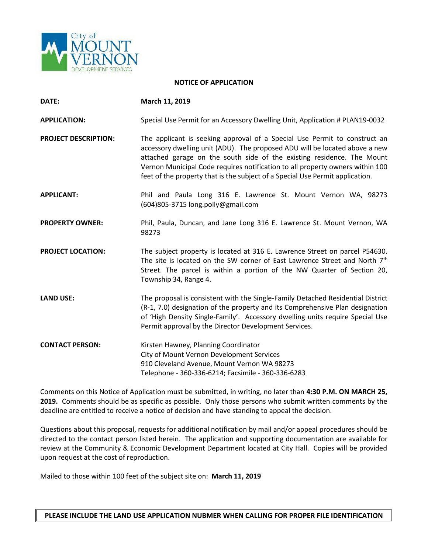

## **NOTICE OF APPLICATION**

| DATE:                       | March 11, 2019                                                                                                                                                                                                                                                                                                                                                                                       |
|-----------------------------|------------------------------------------------------------------------------------------------------------------------------------------------------------------------------------------------------------------------------------------------------------------------------------------------------------------------------------------------------------------------------------------------------|
| <b>APPLICATION:</b>         | Special Use Permit for an Accessory Dwelling Unit, Application # PLAN19-0032                                                                                                                                                                                                                                                                                                                         |
| <b>PROJECT DESCRIPTION:</b> | The applicant is seeking approval of a Special Use Permit to construct an<br>accessory dwelling unit (ADU). The proposed ADU will be located above a new<br>attached garage on the south side of the existing residence. The Mount<br>Vernon Municipal Code requires notification to all property owners within 100<br>feet of the property that is the subject of a Special Use Permit application. |
| <b>APPLICANT:</b>           | Phil and Paula Long 316 E. Lawrence St. Mount Vernon WA, 98273<br>(604)805-3715 long.polly@gmail.com                                                                                                                                                                                                                                                                                                 |
| <b>PROPERTY OWNER:</b>      | Phil, Paula, Duncan, and Jane Long 316 E. Lawrence St. Mount Vernon, WA<br>98273                                                                                                                                                                                                                                                                                                                     |
| <b>PROJECT LOCATION:</b>    | The subject property is located at 316 E. Lawrence Street on parcel P54630.<br>The site is located on the SW corner of East Lawrence Street and North 7th<br>Street. The parcel is within a portion of the NW Quarter of Section 20,<br>Township 34, Range 4.                                                                                                                                        |
| <b>LAND USE:</b>            | The proposal is consistent with the Single-Family Detached Residential District<br>(R-1, 7.0) designation of the property and its Comprehensive Plan designation<br>of 'High Density Single-Family'. Accessory dwelling units require Special Use<br>Permit approval by the Director Development Services.                                                                                           |
| <b>CONTACT PERSON:</b>      | Kirsten Hawney, Planning Coordinator<br>City of Mount Vernon Development Services<br>910 Cleveland Avenue, Mount Vernon WA 98273<br>Telephone - 360-336-6214; Facsimile - 360-336-6283                                                                                                                                                                                                               |

Comments on this Notice of Application must be submitted, in writing, no later than **4:30 P.M. ON MARCH 25, 2019.** Comments should be as specific as possible. Only those persons who submit written comments by the deadline are entitled to receive a notice of decision and have standing to appeal the decision.

Questions about this proposal, requests for additional notification by mail and/or appeal procedures should be directed to the contact person listed herein. The application and supporting documentation are available for review at the Community & Economic Development Department located at City Hall. Copies will be provided upon request at the cost of reproduction.

Mailed to those within 100 feet of the subject site on: **March 11, 2019**